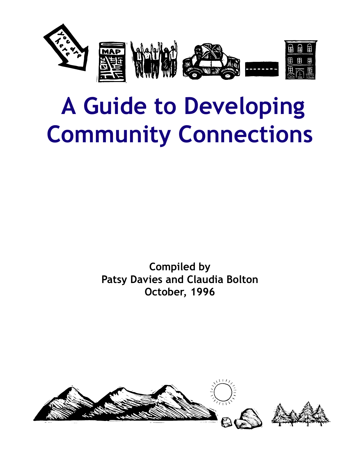

# **A Guide to Developing Community Connections**

**Compiled by Patsy Davies and Claudia Bolton October, 1996**

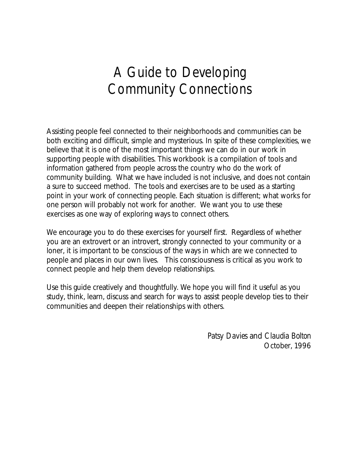### A Guide to Developing Community Connections

Assisting people feel connected to their neighborhoods and communities can be both exciting and difficult, simple and mysterious. In spite of these complexities, we believe that it is one of the most important things we can do in our work in supporting people with disabilities. This workbook is a compilation of tools and information gathered from people across the country who do the work of community building. What we have included is not inclusive, and does not contain a sure to succeed method. The tools and exercises are to be used as a starting point in your work of connecting people. Each situation is different; what works for one person will probably not work for another. We want you to use these exercises as one way of exploring ways to connect others.

We encourage you to do these exercises for yourself first. Regardless of whether you are an extrovert or an introvert, strongly connected to your community or a loner, it is important to be conscious of the ways in which are we connected to people and places in our own lives. This consciousness is critical as you work to connect people and help them develop relationships.

Use this guide creatively and thoughtfully. We hope you will find it useful as you study, think, learn, discuss and search for ways to assist people develop ties to their communities and deepen their relationships with others.

> *Patsy Davies* and *Claudia Bolton* October, 1996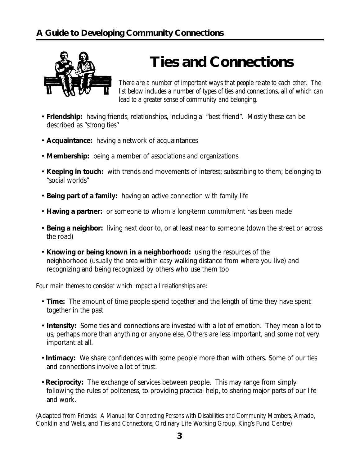

## **Ties and Connections**

*There are a number of important ways that people relate to each other. The list below includes a number of types of ties and connections, all of which can lead to a greater sense of community and belonging.*

- **Friendship:** having friends, relationships, including a "best friend". Mostly these can be described as "strong ties''
- **Acquaintance:** having a network of acquaintances
- **Membership:** being a member of associations and organizations
- **Keeping in touch:** with trends and movements of interest; subscribing to them; belonging to "social worlds"
- **Being part of a family:** having an active connection with family life
- **Having a partner:** or someone to whom a long-term commitment has been made
- **Being a neighbor:** living next door to, or at least near to someone (down the street or across the road)
- **Knowing or being known in a neighborhood:** using the resources of the neighborhood (usually the area within easy walking distance from where you live) and recognizing and being recognized by others who use them too

*Four main themes to consider which impact all relationships ar*e:

- **Time:** The amount of time people spend together and the length of time they have spent together in the past
- **Intensity:** Some ties and connections are invested with a lot of emotion. They mean a lot to us, perhaps more than anything or anyone else. Others are less important, and some not very important at all.
- **Intimacy:** We share confidences with some people more than with others. Some of our ties and connections involve a lot of trust.
- **Reciprocity:** The exchange of services between people. This may range from simply following the rules of politeness, to providing practical help, to sharing major parts of our life and work.

(Adapted from *Friends: A Manual for Connecting Persons with Disabilities and Community Members*, Amado, Conklin and Wells, and *Ties and Connections,* Ordinary Life Working Group, King's Fund Centre)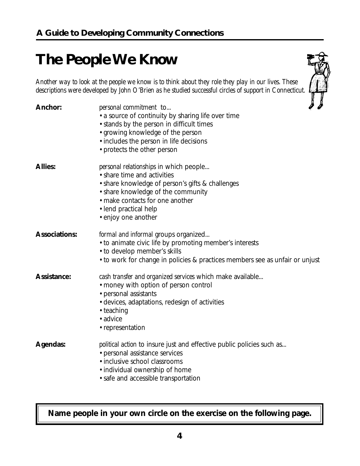# **The People We Know**

*Another way to look at the people we know is to think about they role they play in our lives. These descriptions were developed by John O'Brien as he studied successful circles of support in Connecticut.*

| <b>Anchor:</b>       | personal commitment to<br>• a source of continuity by sharing life over time<br>• stands by the person in difficult times<br>• growing knowledge of the person<br>· includes the person in life decisions<br>• protects the other person                  | 4 H |
|----------------------|-----------------------------------------------------------------------------------------------------------------------------------------------------------------------------------------------------------------------------------------------------------|-----|
| <b>Allies:</b>       | <i>personal relationships</i> in which people<br>• share time and activities<br>• share knowledge of person's gifts & challenges<br>• share knowledge of the community<br>• make contacts for one another<br>• lend practical help<br>• enjoy one another |     |
| <b>Associations:</b> | formal and informal groups organized<br>• to animate civic life by promoting member's interests<br>• to develop member's skills<br>• to work for change in policies & practices members see as unfair or unjust                                           |     |
| <b>Assistance:</b>   | cash transfer and organized services which make available<br>• money with option of person control<br>• personal assistants<br>• devices, adaptations, redesign of activities<br>• teaching<br>• advice<br>• representation                               |     |
| <b>Agendas:</b>      | <i>political action</i> to insure just and effective public policies such as<br>• personal assistance services<br>· inclusive school classrooms<br>· individual ownership of home<br>• safe and accessible transportation                                 |     |

### **Name people in your own circle on the exercise on the following page.**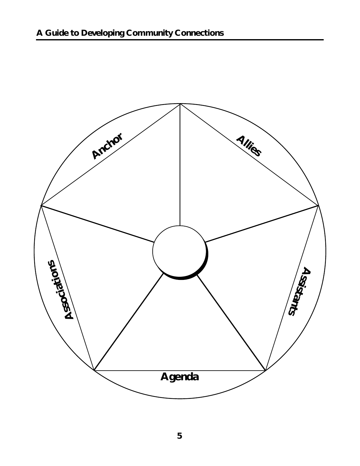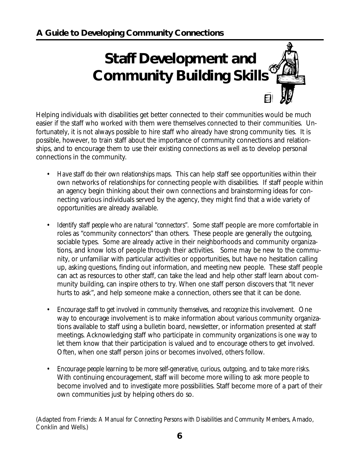# **Staff Development and Community Building Skills**

Helping individuals with disabilities get better connected to their communities would be much easier if the staff who worked with them were themselves connected to their communities. Unfortunately, it is not always possible to hire staff who already have strong community ties. It is possible, however, to train staff about the importance of community connections and relationships, and to encourage them to use their existing connections as well as to develop personal connections in the community.

- *Have staff do their own relationships maps.* This can help staff see opportunities within their own networks of relationships for connecting people with disabilities. If staff people within an agency begin thinking about their own connections and brainstorming ideas for connecting various individuals served by the agency, they might find that a wide variety of opportunities are already available.
- *Identify staff people who are natural "connectors".* Some staff people are more comfortable in roles as "community connectors" than others. These people are generally the outgoing, sociable types. Some are already active in their neighborhoods and community organizations, and know lots of people through their activities. Some may be new to the community, or unfamiliar with particular activities or opportunities, but have no hesitation calling up, asking questions, finding out information, and meeting new people. These staff people can act as resources to other staff, can take the lead and help other staff learn about community building, can inspire others to try. When one staff person discovers that "It never hurts to ask", and help someone make a connection, others see that it can be done.
- *Encourage staff to get involved in community themselves, and recognize this involvement.* One way to encourage involvement is to make information about various community organizations available to staff using a bulletin board, newsletter, or information presented at staff meetings. Acknowledging staff who participate in community organizations is one way to let them know that their participation is valued and to encourage others to get involved. Often, when one staff person joins or becomes involved, others follow.
- *Encourage people learning to be more self-generative, curious, outgoing, and to take more risks.* With continuing encouragement, staff will become more willing to ask more people to become involved and to investigate more possibilities. Staff become more of a part of their own communities just by helping others do so.

(Adapted from *Friends: A Manual for Connecting Persons with Disabilities and Community Members*, Amado, Conklin and Wells.)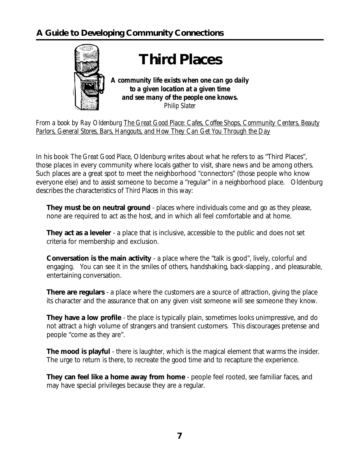

*From a book by Ray Oldenburg The Great Good Place: Cafes, Coffee Shops, Community Centers, Beauty Parlors, General Stores, Bars, Hangouts, and How They Can Get You Through the Day*

In his book *The Great Good Place*, Oldenburg writes about what he refers to as "Third Places", those places in every community where locals gather to visit, share news and be among others. Such places are a great spot to meet the neighborhood "connectors" (those people who know everyone else) and to assist someone to become a "regular" in a neighborhood place. Oldenburg describes the characteristics of *Third Places* in this way:

**They must be on neutral ground** - places where individuals come and go as they please, none are required to act as the host, and in which all feel comfortable and at home.

**They act as a leveler** - a place that is inclusive, accessible to the public and does not set criteria for membership and exclusion.

**Conversation is the main activity** - a place where the "talk is good", lively, colorful and engaging. You can see it in the smiles of others, handshaking, back-slapping , and pleasurable, entertaining conversation.

**There are regulars** - a place where the customers are a source of attraction, giving the place its character and the assurance that on any given visit someone will see someone they know.

**They have a low profile** - the place is typically plain, sometimes looks unimpressive, and do not attract a high volume of strangers and transient customers. This discourages pretense and people "come as they are".

**The mood is playful** - there is laughter, which is the magical element that warms the insider. The urge to return is there, to recreate the good time and to recapture the experience.

**They can feel like a home away from home** - people feel rooted, see familiar faces, and may have special privileges because they are a regular.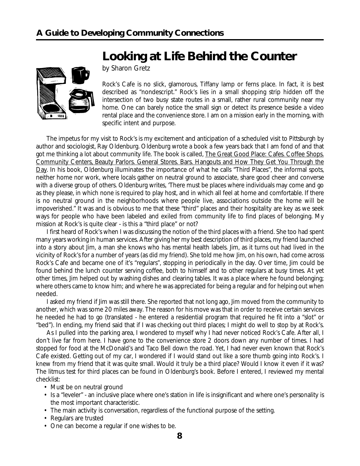### **Looking at Life Behind the Counter**



by Sharon Gretz

Rock's Cafe is no slick, glamorous, Tiffany lamp or ferns place. In fact, it is best described as "nondescript." Rock's lies in a small shopping strip hidden off the intersection of two busy state routes in a small, rather rural community near my home. One can barely notice the small sign or detect its presence beside a video rental place and the convenience store. I am on a mission early in the morning, with specific intent and purpose.

The impetus for my visit to Rock's is my excitement and anticipation of a scheduled visit to Pittsburgh by author and sociologist, Ray Oldenburg. Oldenburg wrote a book a few years back that I am fond of and that got me thinking a lot about community life. The book is called, The Great Good Place: Cafes. Coffee Shops. Community Centers, Beauty Parlors. General Stores. Bars. Hangouts and How They Get You Through the Day. In his book, Oldenburg illuminates the importance of what he calls "Third Places", the informal spots, neither home nor work, where locals gather on neutral ground to associate, share good cheer and converse with a diverse group of others. Oldenburg writes, 'There must be places where individuals may come and go as they please, in which none is required to play host, and in which all feel at home and comfortable. If there is no neutral ground in the neighborhoods where people live, associations outside the home will be impoverished." It was and is obvious to me that these "third" places and their hospitality are key as we seek ways for people who have been labeled and exiled from community life to find places of belonging. My mission at Rock's is quite clear - is this a "third place" or not?

I first heard of Rock's when I was discussing the notion of the third places with a friend. She too had spent many years working in human services. After giving her my best description of third places, my friend launched into a story about Jim, a man she knows who has mental health labels. Jim, as it turns out had lived in the vicinity of Rock's for a number of years (as did my friend). She told me how Jim, on his own, had come across Rock's Cafe and became one of it's "regulars", stopping in periodically in the day. Over time, Jim could be found behind the lunch counter serving coffee, both to himself and to other regulars at busy times. At yet other times, Jim helped out by washing dishes and clearing tables. It was a place where he found belonging; where others came to know him; and where he was appreciated for being a regular and for helping out when needed.

I asked my friend if Jim was still there. She reported that not long ago, Jim moved from the community to another, which was some 20 miles away. The reason for his move was that in order to receive certain services he needed he had to go (translated - he entered a residential program that required he fit into a "slot" or "bed"). In ending, my friend said that if I was checking out third places; I might do well to stop by at Rock's.

As I pulled into the parking area, I wondered to myself why I had never noticed Rock's Cafe. After all, I don't live far from here. I have gone to the convenience store 2 doors down any number of times. I had stopped for food at the McDonald's and Taco Bell down the road. Yet, I had never even known that Rock's Cafe existed. Getting out of my car, I wondered if I would stand out like a sore thumb going into Rock's. I knew from my friend that it was quite small. Would it truly be a third place? Would I know it even if it was? The litmus test for third places can be found in Oldenburg's book. Before I entered, I reviewed my mental checklist:

- Must be on neutral ground
- Is a "leveler" an inclusive place where one's station in life is insignificant and where one's personality is the most important characteristic.
- The main activity is conversation, regardless of the functional purpose of the setting.
- Regulars are trusted
- One can become a regular if one wishes to be.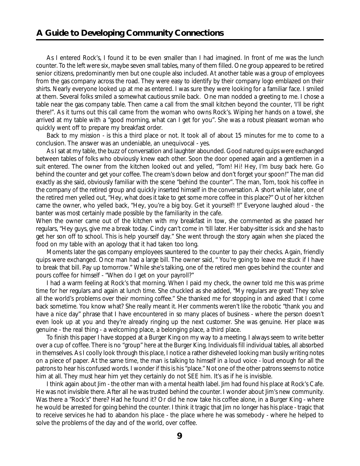As I entered Rock's, I found it to be even smaller than I had imagined. In front of me was the lunch counter. To the left were six, maybe seven small tables, many of them filled. One group appeared to be retired senior citizens, predominantly men but one couple also included. At another table was a group of employees from the gas company across the road. They were easy to identify by their company logo emblazed on their shirts. Nearly everyone looked up at me as entered. I was sure they were looking for a familiar face. I smiled at them. Several folks smiled a somewhat cautious smile back. One man nodded a greeting to me. I chose a table near the gas company table. Then came a call from the small kitchen beyond the counter, 'I'll be right there!". As it turns out this call came from the woman who owns Rock's. Wiping her hands on a towel, she arrived at my table with a "good morning, what can I get for you". She was a robust pleasant woman who quickly went off to prepare my breakfast order.

Back to my mission - is this a third place or not. It took all of about 15 minutes for me to come to a conclusion. The answer was an undeniable, an unequivocal - yes.

As I sat at my table, the buzz of conversation and laughter abounded. Good natured quips were exchanged between tables of folks who obviously knew each other. Soon the door opened again and a gentlemen in a suit entered. The owner from the kitchen looked out and yelled, "Tom! Hi! Hey, I'm busy back here. Go behind the counter and get your coffee. The cream's down below and don't forget your spoon!" The man did exactly as she said, obviously familiar with the scene "behind the counter". The man, Tom, took his coffee in the company of the retired group and quickly inserted himself in the conversation. A short while later, one of the retired men yelled out, "Hey, what does it take to get some more coffee in this place?" Out of her kitchen came the owner, who yelled back, "Hey, you're a big boy. Get it yourself! !!" Everyone laughed aloud - the banter was most certainly made possible by the familiarity in the cafe.

When the owner came out of the kitchen with my breakfast in tow, she commented as she passed her regulars, "Hey guys, give me a break today. Cindy can't come in 'till later. Her baby-sitter is sick and she has to get her son off to school. This is help yourself day." She went through the story again when she placed the food on my table with an apology that it had taken too long.

Moments later the gas company employees sauntered to the counter to pay their checks. Again, friendly quips were exchanged. Once man had a large bill. The owner said, " You're going to leave me stuck if I have to break that bill. Pay up tomorrow." While she's talking, one of the retired men goes behind the counter and pours coffee for himself - "When do I get on your payroll?"

I had a warm feeling at Rock's that morning. When I paid my check, the owner told me this was prime time for her regulars and again at lunch time. She chuckled as she added, "My regulars are great! They solve all the world's problems over their morning coffee." She thanked me for stopping in and asked that I come back sometime. You know what? She really meant it. Her comments weren't like the robotic "thank you and have a nice day" phrase that I have encountered in so many places of business - where the person doesn't even look up at you and they're already ringing up the next customer. She was genuine. Her place was genuine - the real thing - a welcoming place, a belonging place, a third place.

To finish this paper I have stopped at a Burger King on my way to a meeting. I always seem to write better over a cup of coffee. There is no "group" here at the Burger King. Individuals fill individual tables, all absorbed in themselves. As I coolly look through this place, I notice a rather disheveled looking man busily writing notes on a piece of paper. At the same time, the man is talking to himself in a loud voice - loud enough for all the patrons to hear his confused words. I wonder if this is his "place." Not one of the other patrons seems to notice him at all. They must hear him yet they certainly do not SEE him. It's as if he is invisible.

I think again about Jim - the other man with a mental health label. Jim had found his place at Rock's Cafe. He was not invisible there. After all he was trusted behind the counter. I wonder about Jim's new community. Was there a "Rock's" there? Had he found it? Or did he now take his coffee alone, in a Burger King - where he would be arrested for going behind the counter. I think it tragic that Jim no longer has his place - tragic that to receive services he had to abandon his place - the place where he was somebody - where he helped to solve the problems of the day and of the world, over coffee.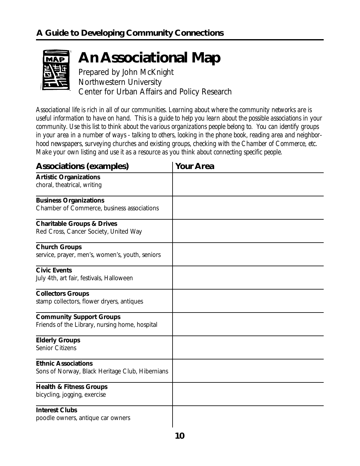

## **An Associational Map**

Prepared by John McKnight Northwestern University Center for Urban Affairs and Policy Research

*Associational life is rich in all of our communities. Learning about where the community networks are is useful information to have on hand. This is a guide to help you learn about the possible associations in your community. Use this list to think about the various organizations people belong to. You can identify groups in your area in a number of ways - talking to others, looking in the phone book, reading area and neighborhood newspapers, surveying churches and existing groups, checking with the Chamber of Commerce, etc. Make your own listing and use it as a resource as you think about connecting specific people.*

| <b>Associations (examples)</b>                                                    | <b>Your Area</b> |
|-----------------------------------------------------------------------------------|------------------|
| <b>Artistic Organizations</b><br>choral, theatrical, writing                      |                  |
| <b>Business Organizations</b><br>Chamber of Commerce, business associations       |                  |
| <b>Charitable Groups &amp; Drives</b><br>Red Cross, Cancer Society, United Way    |                  |
| <b>Church Groups</b><br>service, prayer, men's, women's, youth, seniors           |                  |
| <b>Civic Events</b><br>July 4th, art fair, festivals, Halloween                   |                  |
| <b>Collectors Groups</b><br>stamp collectors, flower dryers, antiques             |                  |
| <b>Community Support Groups</b><br>Friends of the Library, nursing home, hospital |                  |
| <b>Elderly Groups</b><br><b>Senior Citizens</b>                                   |                  |
| <b>Ethnic Associations</b><br>Sons of Norway, Black Heritage Club, Hibernians     |                  |
| <b>Health &amp; Fitness Groups</b><br>bicycling, jogging, exercise                |                  |
| <b>Interest Clubs</b><br>poodle owners, antique car owners                        |                  |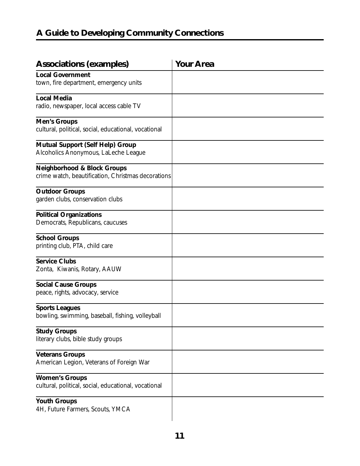### **A Guide to Developing Community Connections**

| <b>Associations (examples)</b>                                                               | <b>Your Area</b> |
|----------------------------------------------------------------------------------------------|------------------|
| <b>Local Government</b><br>town, fire department, emergency units                            |                  |
| <b>Local Media</b><br>radio, newspaper, local access cable TV                                |                  |
| <b>Men's Groups</b><br>cultural, political, social, educational, vocational                  |                  |
| <b>Mutual Support (Self Help) Group</b><br>Alcoholics Anonymous, LaLeche League              |                  |
| <b>Neighborhood &amp; Block Groups</b><br>crime watch, beautification, Christmas decorations |                  |
| <b>Outdoor Groups</b><br>garden clubs, conservation clubs                                    |                  |
| <b>Political Organizations</b><br>Democrats, Republicans, caucuses                           |                  |
| <b>School Groups</b><br>printing club, PTA, child care                                       |                  |
| <b>Service Clubs</b><br>Zonta, Kiwanis, Rotary, AAUW                                         |                  |
| <b>Social Cause Groups</b><br>peace, rights, advocacy, service                               |                  |
| <b>Sports Leagues</b><br>bowling, swimming, baseball, fishing, volleyball                    |                  |
| <b>Study Groups</b><br>literary clubs, bible study groups                                    |                  |
| <b>Veterans Groups</b><br>American Legion, Veterans of Foreign War                           |                  |
| <b>Women's Groups</b><br>cultural, political, social, educational, vocational                |                  |
| <b>Youth Groups</b><br>4H, Future Farmers, Scouts, YMCA                                      |                  |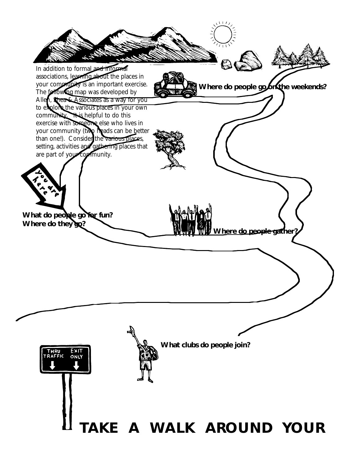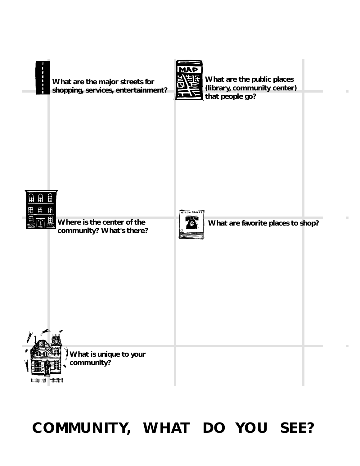

**13 COMMUNITY, WHAT DO YOU SEE?**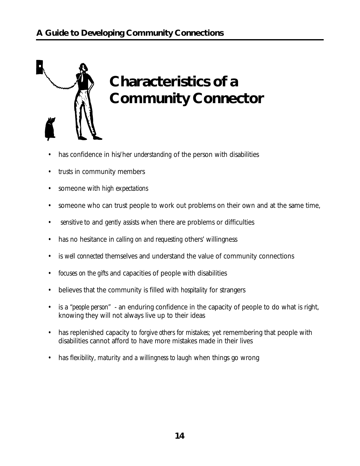

# **Characteristics of a Community Connector**

- has confidence in his/her *understanding* of the person with disabilities
- *trusts* in community members
- someone with *high expectations*
- someone who can trust people to work out problems on their own and at the same time,
- *sensitive* to and *gently assists* when there are problems or difficulties
- has no hesitance in *calling on and requesting* others' willingness
- is *well connected* themselves and understand the value of community connections
- *focuses on the gifts* and capacities of people with disabilities
- believes that the community is filled with *hospitality* for strangers
- is a *"people person"* an enduring confidence in the capacity of people to do what is right, knowing they will not always live up to their ideas
- has replenished capacity to *forgive others for mistakes*; yet remembering that people with disabilities cannot afford to have more mistakes made in their lives
- has f*lexibility, maturity and a willingness to laugh* when things go wrong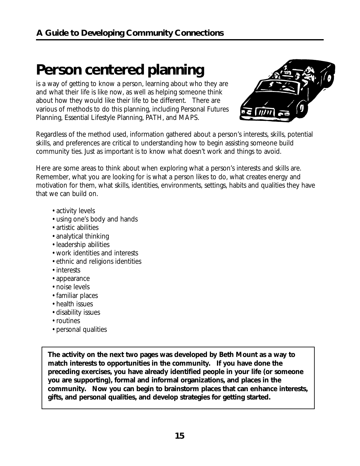### **Person centered planning**

is a way of getting to know a person, learning about who they are and what their life is like now, as well as helping someone think about how they would like their life to be different. There are various of methods to do this planning, including Personal Futures Planning, Essential Lifestyle Planning, PATH, and MAPS.



Regardless of the method used, information gathered about a person's interests, skills, potential skills, and preferences are critical to understanding how to begin assisting someone build community ties. Just as important is to know what doesn't work and things to avoid.

Here are some areas to think about when exploring what a person's interests and skills are. Remember, what you are looking for is what a person likes to do, what creates energy and motivation for them, what skills, identities, environments, settings, habits and qualities they have that we can build on.

- activity levels
- using one's body and hands
- artistic abilities
- analytical thinking
- leadership abilities
- work identities and interests
- ethnic and religions identities
- interests
- appearance
- noise levels
- familiar places
- health issues
- disability issues
- routines
- personal qualities

**The activity on the next two pages was developed by Beth Mount as a way to match interests to opportunities in the community. If you have done the preceding exercises, you have already identified people in your life (or someone you are supporting), formal and informal organizations, and places in the community. Now you can begin to brainstorm places that can enhance interests, gifts, and personal qualities, and develop strategies for getting started.**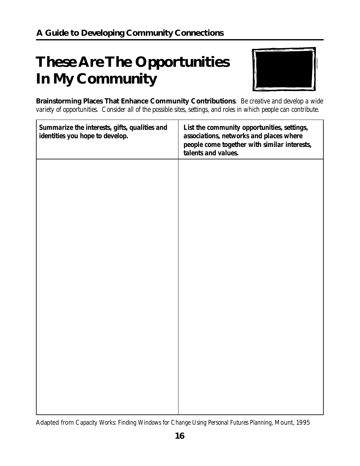# **These Are The Opportunities In My Community**



**Brainstorming Places That Enhance Community Contributions**. *Be creative and develop a wide variety of opportunities. Consider all of the possible sites, settings, and roles in which people can contribute.*

| Summarize the interests, gifts, qualities and<br>identities you hope to develop. | List the community opportunities, settings,<br>associations, networks and places where<br>people come together with similar interests,<br>talents and values. |
|----------------------------------------------------------------------------------|---------------------------------------------------------------------------------------------------------------------------------------------------------------|
|                                                                                  |                                                                                                                                                               |
|                                                                                  |                                                                                                                                                               |
|                                                                                  |                                                                                                                                                               |
|                                                                                  |                                                                                                                                                               |
|                                                                                  |                                                                                                                                                               |
|                                                                                  |                                                                                                                                                               |
|                                                                                  |                                                                                                                                                               |

Adapted from *Capacity Works: Finding Windows for Change Using Personal Futures Planning*, Mount, 1995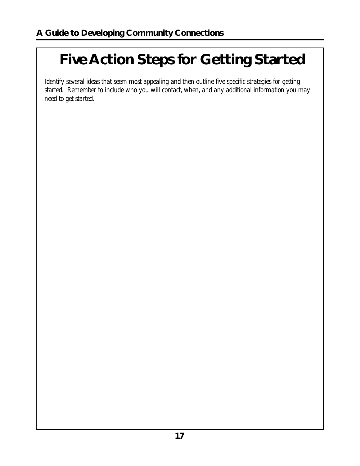# **Five Action Steps for Getting Started**

*Identify several ideas that seem most appealing and then outline five specific strategies for getting started. Remember to include who you will contact, when, and any additional information you may need to get started.*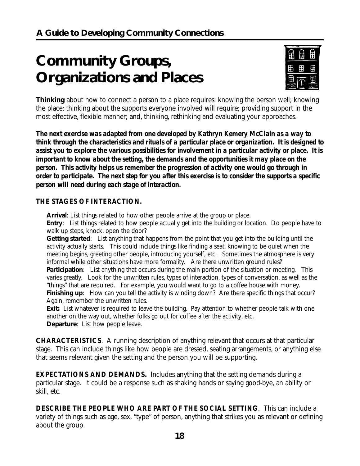# **Community Groups, Organizations and Places**



**Thinking** about how to connect a person to a place requires: knowing the person well; knowing the place; thinking about the supports everyone involved will require; providing support in the most effective, flexible manner; and, thinking, rethinking and evaluating your approaches.

*The next exercise was adapted from one developed by Kathryn Kemery McClain as a way to think through the characteristics and rituals of a particular place or organization. It is designed to assist you to explore the various possibilities for involvement in a particular activity or place. It is important to know about the setting, the demands and the opportunities it may place on the person. This activity helps us remember the progression of activity one would go through in order to participate. The next step for you after this exercise is to consider the supports a specific person will need during each stage of interaction.*

#### *THE STAGES OF INTERACTION.*

**Arrival**: List things related to how other people arrive at the group or place.

**Entry**: List things related to how people actually get into the building or location. Do people have to walk up steps, knock, open the door?

**Getting started**: List anything that happens from the point that you get into the building until the activity actually starts. This could include things like finding a seat, knowing to be quiet when the meeting begins, greeting other people, introducing yourself, etc. Sometimes the atmosphere is very informal while other situations have more formality. Are there unwritten ground rules?

**Participation**: List anything that occurs during the main portion of the situation or meeting. This varies greatly. Look for the unwritten rules, types of interaction, types of conversation, as well as the "things" that are required. For example, you would want to go to a coffee house with money. **Finishing up**: How can you tell the activity is winding down? Are there specific things that occur? Again, remember the unwritten rules.

**Exit:** List whatever is required to leave the building. Pay attention to whether people talk with one another on the way out, whether folks go out for coffee after the activity, etc. **Departure**: List how people leave.

*CHARACTERISTICS*. A running description of anything relevant that occurs at that particular stage. This can include things like how people are dressed, seating arrangements, or anything else that seems relevant given the setting and the person you will be supporting.

*EXPECTATIONS AND DEMANDS***.** Includes anything that the setting demands during a particular stage. It could be a response such as shaking hands or saying good-bye, an ability or skill, etc.

*DESCRIBE THE PEOPLE WHO ARE PART OF THE SOCIAL SETTING.* This can include a variety of things such as age, sex, "type" of person, anything that strikes you as relevant or defining about the group.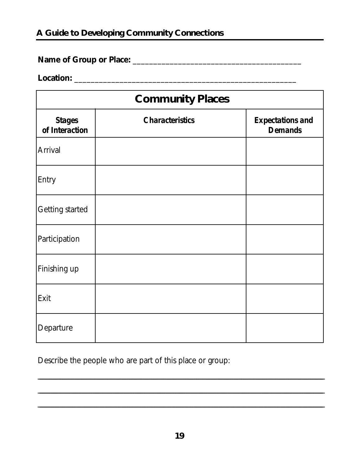### A Guide to Developing Community Connections

### 

#### 

| <b>Community Places</b>         |                        |                                           |  |  |
|---------------------------------|------------------------|-------------------------------------------|--|--|
| <b>Stages</b><br>of Interaction | <b>Characteristics</b> | <b>Expectations and</b><br><b>Demands</b> |  |  |
| <b>Arrival</b>                  |                        |                                           |  |  |
| Entry                           |                        |                                           |  |  |
| <b>Getting started</b>          |                        |                                           |  |  |
| Participation                   |                        |                                           |  |  |
| Finishing up                    |                        |                                           |  |  |
| Exit                            |                        |                                           |  |  |
| Departure                       |                        |                                           |  |  |

Describe the people who are part of this place or group: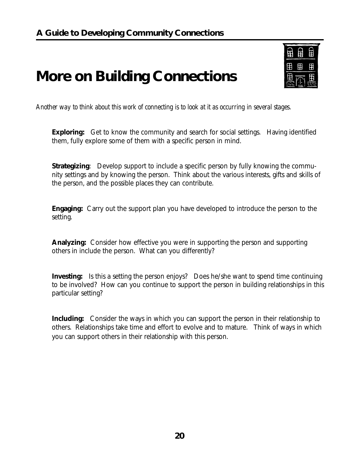### **More on Building Connections**



*Another way to think about this work of connecting is to look at it as occurring in several stages.*

**Exploring:** Get to know the community and search for social settings. Having identified them, fully explore some of them with a specific person in mind.

**Strategizing:** Develop support to include a specific person by fully knowing the community settings and by knowing the person. Think about the various interests, gifts and skills of the person, and the possible places they can contribute.

**Engaging:** Carry out the support plan you have developed to introduce the person to the setting.

**Analyzing:** Consider how effective you were in supporting the person and supporting others in include the person. What can you differently?

**Investing:** Is this a setting the person enjoys? Does he/she want to spend time continuing to be involved? How can you continue to support the person in building relationships in this particular setting?

**Including:** Consider the ways in which you can support the person in their relationship to others. Relationships take time and effort to evolve and to mature. Think of ways in which you can support others in their relationship with this person.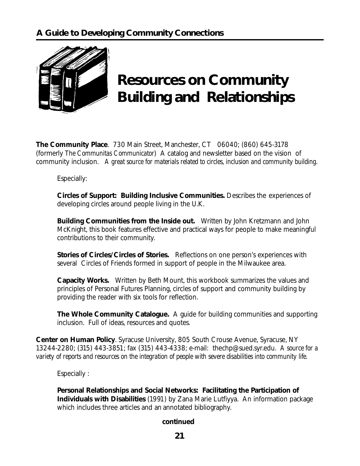

# **Resources on Community Building and Relationships**

**The Community Place**. 730 Main Street, Manchester, CT 06040; (860) 645-3178 (formerly *The Communitas Communicator*) A catalog and newsletter based on the vision of community inclusion. *A great source for materials related to circles, inclusion and community building.*

Especially:

**Circles of Support: Building Inclusive Communities.** Describes the experiences of developing circles around people living in the U.K.

**Building Communities from the Inside out.** Written by John Kretzmann and John McKnight, this book features effective and practical ways for people to make meaningful contributions to their community.

**Stories of Circles/Circles of Stories.** Reflections on one person's experiences with several Circles of Friends formed in support of people in the Milwaukee area.

**Capacity Works.** Written by Beth Mount, this workbook summarizes the values and principles of Personal Futures Planning, circles of support and community building by providing the reader with six tools for reflection.

**The Whole Community Catalogue.** A guide for building communities and supporting inclusion. Full of ideas, resources and quotes.

**Center on Human Policy**. Syracuse University, 805 South Crouse Avenue, Syracuse, NY 13244-2280; (315) 443-3851; fax (315) 443-4338; e-mail: thechp@sued.syr.edu. *A source for a variety of reports and resources on the integration of people with severe disabilities into community life.*

Especially :

**Personal Relationships and Social Networks: Facilitating the Participation of Individuals with Disabilities** (1991) by Zana Marie Lutfiyya. An information package which includes three articles and an annotated bibliography.

#### **continued**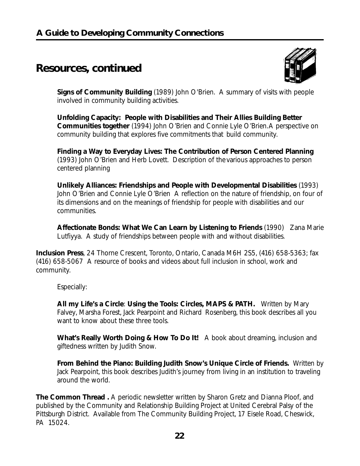### **Resources, continued**



**Signs of Community Building** (1989) John O'Brien. A summary of visits with people involved in community building activities.

**Unfolding Capacity: People with Disabilities and Their Allies Building Better Communities together** (1994) John O'Brien and Connie Lyle O'Brien.A perspective on community building that explores five commitments that build community.

**Finding a Way to Everyday Lives: The Contribution of Person Centered Planning** (1993) John O'Brien and Herb Lovett. Description of thevarious approaches to person centered planning

**Unlikely Alliances: Friendships and People with Developmental Disabilities** (1993) John O'Brien and Connie Lyle O'Brien A reflection on the nature of friendship, on four of its dimensions and on the meanings of friendship for people with disabilities and our communities.

**Affectionate Bonds: What We Can Learn by Listening to Friends** (1990) Zana Marie Lutfiyya. A study of friendships between people with and without disabilities.

**Inclusion Press**, 24 Thorne Crescent, Toronto, Ontario, Canada M6H 2S5, (416) 658-5363; fax (416) 658-5067 A resource of books and videos about full inclusion in school, work and community.

Especially:

**All my Life's a Circle**: **Using the Tools: Circles, MAPS & PATH.** Written by Mary Falvey, Marsha Forest, Jack Pearpoint and Richard Rosenberg, this book describes all you want to know about these three tools.

**What's Really Worth Doing & How To Do It!** A book about dreaming, inclusion and giftedness written by Judith Snow.

**From Behind the Piano: Building Judith Snow's Unique Circle of Friends.** Written by Jack Pearpoint, this book describes Judith's journey from living in an institution to traveling around the world.

**The Common Thread .** A periodic newsletter written by Sharon Gretz and Dianna Ploof, and published by the Community and Relationship Building Project at United Cerebral Palsy of the Pittsburgh District. Available from The Community Building Project, 17 Eisele Road, Cheswick, PA 15024.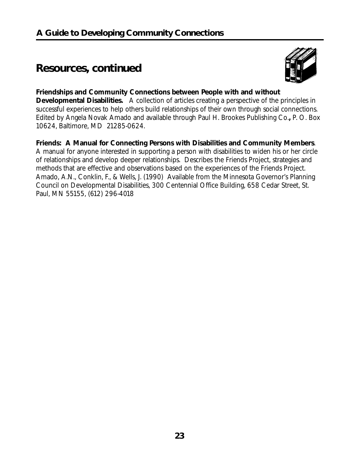### **Resources, continued**



#### **Friendships and Community Connections between People with and without**

**Developmental Disabilities.** A collection of articles creating a perspective of the principles in successful experiences to help others build relationships of their own through social connections. Edited by Angela Novak Amado and available through Paul H. Brookes Publishing Co.**,** P. O. Box 10624, Baltimore, MD 21285-0624.

**Friends: A Manual for Connecting Persons with Disabilities and Community Members**. A manual for anyone interested in supporting a person with disabilities to widen his or her circle of relationships and develop deeper relationships. Describes the Friends Project, strategies and methods that are effective and observations based on the experiences of the Friends Project. Amado, A.N., Conklin, F., & Wells, J. (1990) Available from the Minnesota Governor's Planning Council on Developmental Disabilities, 300 Centennial Office Building, 658 Cedar Street, St. Paul, MN 55155, (612) 296-4018